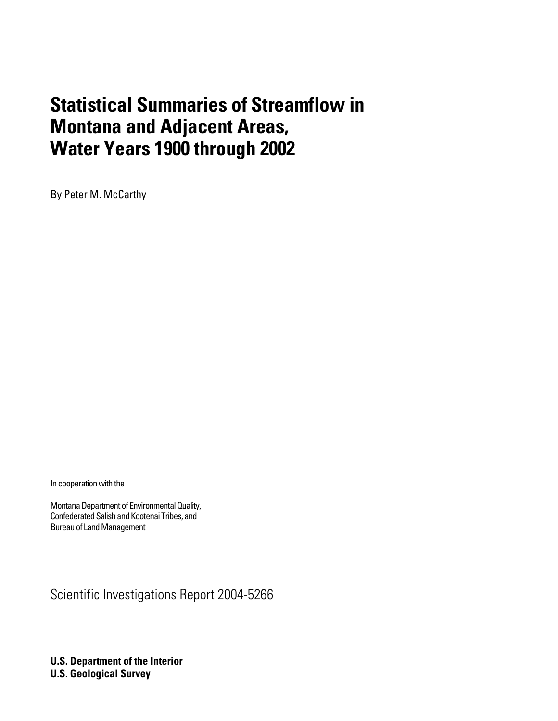# **Statistical Summaries of Streamflow in Montana and Adjacent Areas, Water Years 1900 through 2002**

By Peter M. McCarthy

In cooperation with the

Montana Department of Environmental Quality, Confederated Salish and Kootenai Tribes, and Bureau of Land Management

Scientific Investigations Report 2004-5266

**U.S. Department of the Interior U.S. Geological Survey**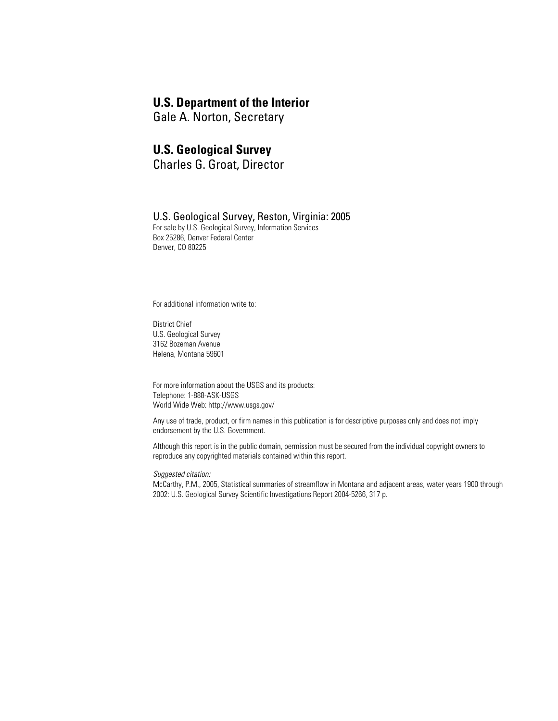### **U.S. Department of the Interior**

Gale A. Norton, Secretary

#### **U.S. Geological Survey**

Charles G. Groat, Director

#### U.S. Geological Survey, Reston, Virginia: 2005

For sale by U.S. Geological Survey, Information Services Box 25286, Denver Federal Center Denver, CO 80225

For additional information write to:

District Chief U.S. Geological Survey 3162 Bozeman Avenue Helena, Montana 59601

For more information about the USGS and its products: Telephone: 1-888-ASK-USGS World Wide Web: http://www.usgs.gov/

Any use of trade, product, or firm names in this publication is for descriptive purposes only and does not imply endorsement by the U.S. Government.

Although this report is in the public domain, permission must be secured from the individual copyright owners to reproduce any copyrighted materials contained within this report.

*Suggested citation:*

McCarthy, P.M., 2005, Statistical summaries of streamflow in Montana and adjacent areas, water years 1900 through 2002: U.S. Geological Survey Scientific Investigations Report 2004-5266, 317 p.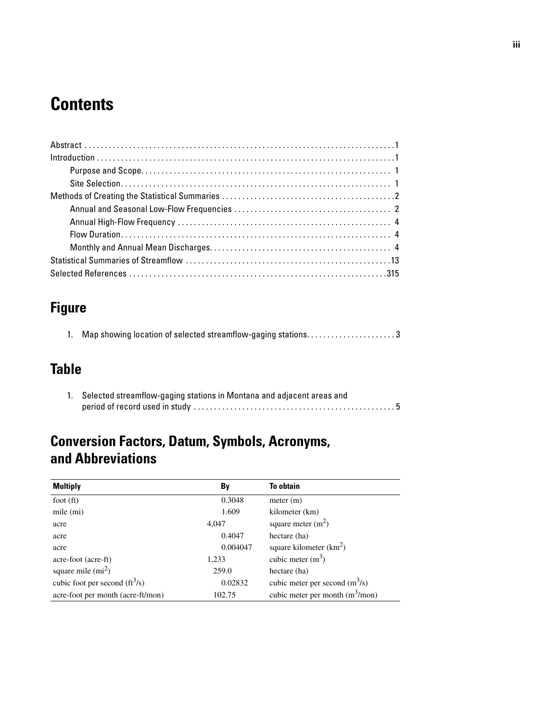# **Contents**

## **Figure**

|  |  |  | Map showing location of selected streamflow-gaging stations3 |  |
|--|--|--|--------------------------------------------------------------|--|
|--|--|--|--------------------------------------------------------------|--|

## **Table**

| 1. Selected streamflow-gaging stations in Montana and adjacent areas and |                                                                                                                   |  |  |
|--------------------------------------------------------------------------|-------------------------------------------------------------------------------------------------------------------|--|--|
|                                                                          | period of record used in study $\dots\dots\dots\dots\dots\dots\dots\dots\dots\dots\dots\dots\dots\dots\dots\dots$ |  |  |

## **Conversion Factors, Datum, Symbols, Acronyms, and Abbreviations**

| <b>Multiply</b>                   | By       | <b>To obtain</b>                  |
|-----------------------------------|----------|-----------------------------------|
| foot $(ft)$                       | 0.3048   | meter (m)                         |
| mile (mi)                         | 1.609    | kilometer (km)                    |
| acre                              | 4,047    | square meter $(m2)$               |
| acre                              | 0.4047   | hectare (ha)                      |
| acre                              | 0.004047 | square kilometer $(km^2)$         |
| acre-foot (acre-ft)               | 1,233    | cubic meter $(m^3)$               |
| square mile $(mi^2)$              | 259.0    | hectare (ha)                      |
| cubic foot per second $(ft^3/s)$  | 0.02832  | cubic meter per second $(m^3/s)$  |
| acre-foot per month (acre-ft/mon) | 102.75   | cubic meter per month $(m^3/mon)$ |